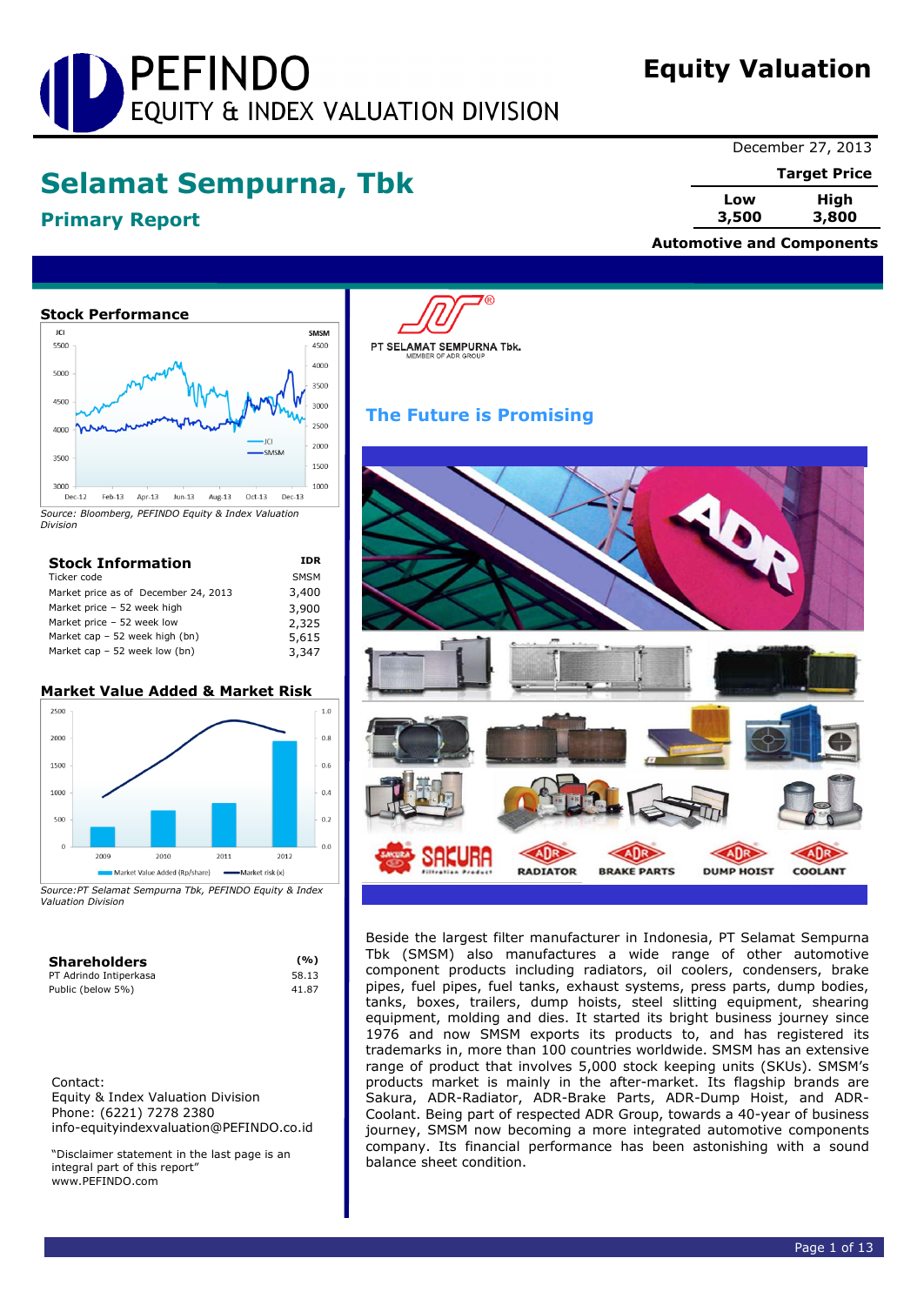# PEFINDO EQUITY & INDEX VALUATION DIVISION

# **Equity Valuation**

**Automotive and Components**

# **Selamat Sempurna, Tbk**

# **Primary Report**

December 27, 2013

**Target Price**

**Low High 3,500 3,800**

**Stock Performance** JC SMSM 5500 4500 4000  $500$ 3500 4500 3000 2500  $A \cap C$ 2000 3500 1500 1000 3000  $Dec-12$  $Feb-13$ Apr-13 Jun-13 Aug-13  $Oct-13$  $Dec-13$ 

*Source: Bloomberg, PEFINDO Equity & Index Valuation Division*

| <b>Stock Information</b>             | IDR         |
|--------------------------------------|-------------|
| Ticker code                          | <b>SMSM</b> |
| Market price as of December 24, 2013 | 3,400       |
| Market price - 52 week high          | 3,900       |
| Market price - 52 week low           | 2,325       |
| Market cap $-52$ week high (bn)      | 5,615       |
| Market cap $-52$ week low (bn)       | 3,347       |

# **Market Value Added & Market Risk**



*Source:PT Selamat Sempurna Tbk, PEFINDO Equity & Index Valuation Division*

| <b>Shareholders</b>    | (%)   |
|------------------------|-------|
| PT Adrindo Intiperkasa | 58.13 |
| Public (below 5%)      | 41.87 |

Contact: Equity & Index Valuation Division Phone: (6221) 7278 2380 info-equityindexvaluation@PEFINDO.co.id

"Disclaimer statement in the last page is an integral part of this report" www.PEFINDO.com

PT SELAMAT SEMPURNA Tbk.

# **The Future is Promising**



Beside the largest filter manufacturer in Indonesia, PT Selamat Sempurna Tbk (SMSM) also manufactures a wide range of other automotive component products including radiators, oil coolers, condensers, brake pipes, fuel pipes, fuel tanks, exhaust systems, press parts, dump bodies, tanks, boxes, trailers, dump hoists, steel slitting equipment, shearing equipment, molding and dies. It started its bright business journey since 1976 and now SMSM exports its products to, and has registered its trademarks in, more than 100 countries worldwide. SMSM has an extensive range of product that involves 5,000 stock keeping units (SKUs). SMSM's products market is mainly in the after-market. Its flagship brands are Sakura, ADR-Radiator, ADR-Brake Parts, ADR-Dump Hoist, and ADR-Coolant. Being part of respected ADR Group, towards a 40-year of business journey, SMSM now becoming a more integrated automotive components company. Its financial performance has been astonishing with a sound balance sheet condition.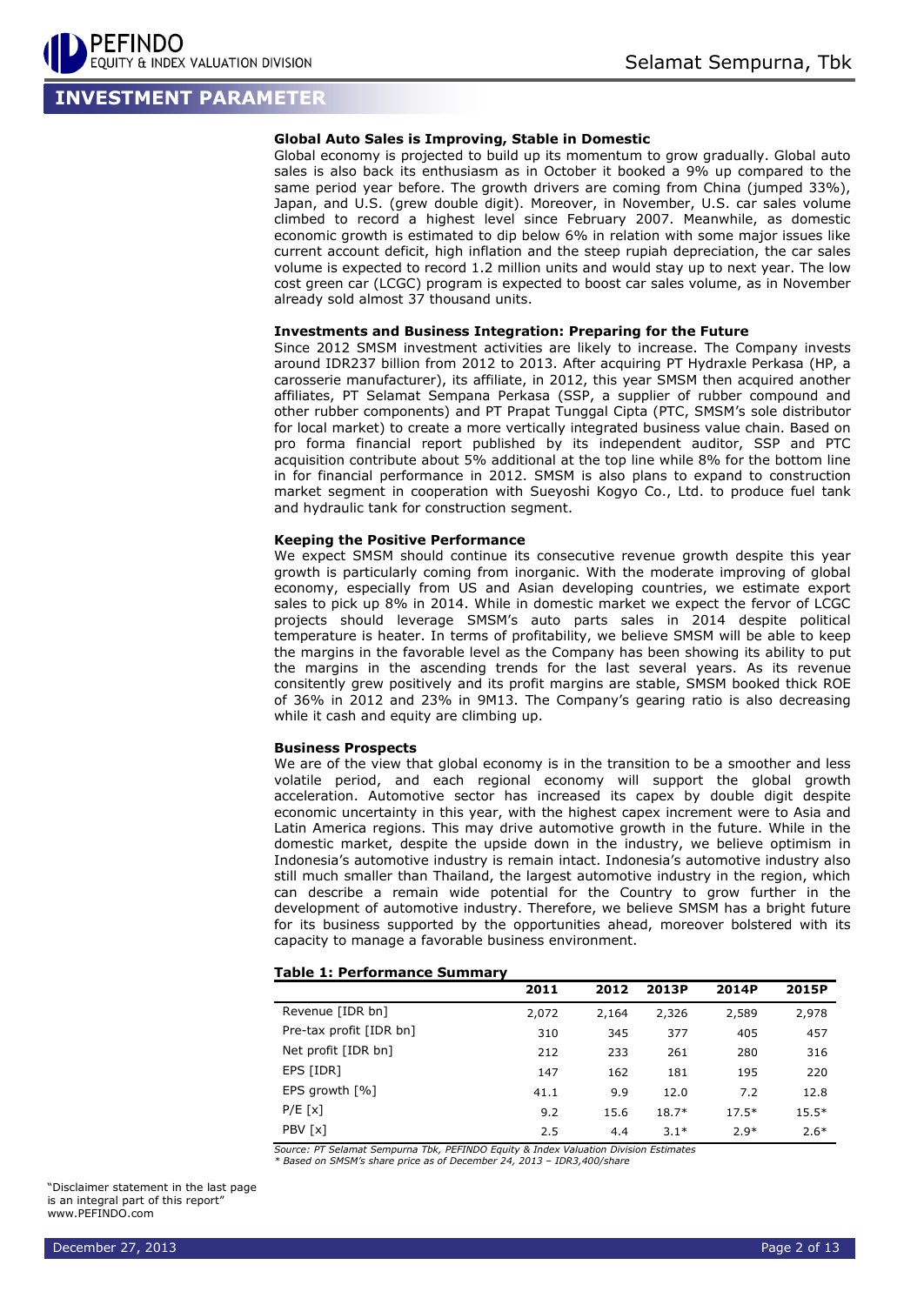# **INVESTMENT PARAMETER**

# **Global Auto Sales is Improving, Stable in Domestic**

Global economy is projected to build up its momentum to grow gradually. Global auto sales is also back its enthusiasm as in October it booked a 9% up compared to the same period year before. The growth drivers are coming from China (jumped 33%), Japan, and U.S. (grew double digit). Moreover, in November, U.S. car sales volume climbed to record a highest level since February 2007. Meanwhile, as domestic economic growth is estimated to dip below 6% in relation with some major issues like current account deficit, high inflation and the steep rupiah depreciation, the car sales volume is expected to record 1.2 million units and would stay up to next year. The low cost green car (LCGC) program is expected to boost car sales volume, as in November already sold almost 37 thousand units.

# **Investments and Business Integration: Preparing for the Future**

Since 2012 SMSM investment activities are likely to increase. The Company invests around IDR237 billion from 2012 to 2013. After acquiring PT Hydraxle Perkasa (HP, a carosserie manufacturer), its affiliate, in 2012, this year SMSM then acquired another affiliates, PT Selamat Sempana Perkasa (SSP, a supplier of rubber compound and other rubber components) and PT Prapat Tunggal Cipta (PTC, SMSM's sole distributor for local market) to create a more vertically integrated business value chain. Based on pro forma financial report published by its independent auditor, SSP and PTC acquisition contribute about 5% additional at the top line while 8% for the bottom line in for financial performance in 2012. SMSM is also plans to expand to construction market segment in cooperation with Sueyoshi Kogyo Co., Ltd. to produce fuel tank and hydraulic tank for construction segment.

# **Keeping the Positive Performance**

We expect SMSM should continue its consecutive revenue growth despite this year growth is particularly coming from inorganic. With the moderate improving of global economy, especially from US and Asian developing countries, we estimate export sales to pick up 8% in 2014. While in domestic market we expect the fervor of LCGC projects should leverage SMSM's auto parts sales in 2014 despite political temperature is heater. In terms of profitability, we believe SMSM will be able to keep the margins in the favorable level as the Company has been showing its ability to put the margins in the ascending trends for the last several years. As its revenue consitently grew positively and its profit margins are stable, SMSM booked thick ROE of 36% in 2012 and 23% in 9M13. The Company's gearing ratio is also decreasing while it cash and equity are climbing up.

# **Business Prospects**

We are of the view that global economy is in the transition to be a smoother and less volatile period, and each regional economy will support the global growth acceleration. Automotive sector has increased its capex by double digit despite economic uncertainty in this year, with the highest capex increment were to Asia and Latin America regions. This may drive automotive growth in the future. While in the domestic market, despite the upside down in the industry, we believe optimism in Indonesia's automotive industry is remain intact. Indonesia's automotive industry also still much smaller than Thailand, the largest automotive industry in the region, which can describe a remain wide potential for the Country to grow further in the development of automotive industry. Therefore, we believe SMSM has a bright future for its business supported by the opportunities ahead, moreover bolstered with its capacity to manage a favorable business environment.

## **Table 1: Performance Summary**

|                               | 2011  | 2012  | 2013P   | 2014P   | 2015P   |
|-------------------------------|-------|-------|---------|---------|---------|
| Revenue [IDR bn]              | 2,072 | 2,164 | 2,326   | 2,589   | 2,978   |
| Pre-tax profit [IDR bn]       | 310   | 345   | 377     | 405     | 457     |
| Net profit [IDR bn]           | 212   | 233   | 261     | 280     | 316     |
| EPS [IDR]                     | 147   | 162   | 181     | 195     | 220     |
| EPS growth $\lceil \% \rceil$ | 41.1  | 9.9   | 12.0    | 7.2     | 12.8    |
| P/E[x]                        | 9.2   | 15.6  | $18.7*$ | $17.5*$ | $15.5*$ |
| PBV [x]                       | 2.5   | 4.4   | $3.1*$  | $2.9*$  | $2.6*$  |

*Source: PT Selamat Sempurna Tbk, PEFINDO Equity & Index Valuation Division Estimates \* Based on SMSM's share price as of December 24, 2013 – IDR3,400/share*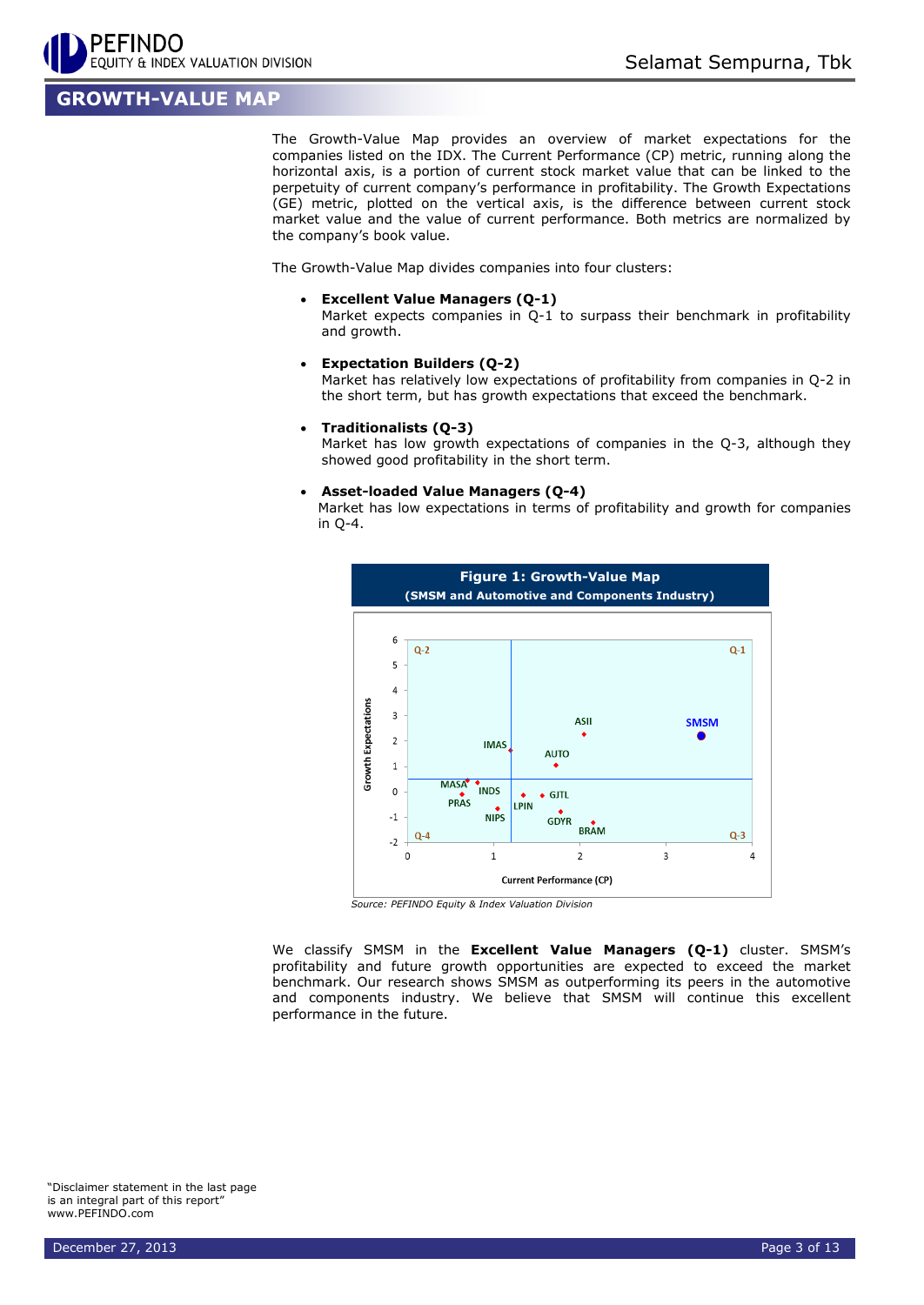

# **GROWTH-VALUE MAP**

The Growth-Value Map provides an overview of market expectations for the companies listed on the IDX. The Current Performance (CP) metric, running along the horizontal axis, is a portion of current stock market value that can be linked to the perpetuity of current company's performance in profitability. The Growth Expectations (GE) metric, plotted on the vertical axis, is the difference between current stock market value and the value of current performance. Both metrics are normalized by the company's book value.

The Growth-Value Map divides companies into four clusters:

**Excellent Value Managers (Q-1)**

Market expects companies in Q-1 to surpass their benchmark in profitability and growth.

**Expectation Builders (Q-2)**

Market has relatively low expectations of profitability from companies in Q-2 in the short term, but has growth expectations that exceed the benchmark.

**Traditionalists (Q-3)**

Market has low growth expectations of companies in the Q-3, although they showed good profitability in the short term.

**Asset-loaded Value Managers (Q-4)**

Market has low expectations in terms of profitability and growth for companies in Q-4.



*Source: PEFINDO Equity & Index Valuation Division*

We classify SMSM in the **Excellent Value Managers (Q-1)** cluster. SMSM's profitability and future growth opportunities are expected to exceed the market benchmark. Our research shows SMSM as outperforming its peers in the automotive and components industry. We believe that SMSM will continue this excellent performance in the future.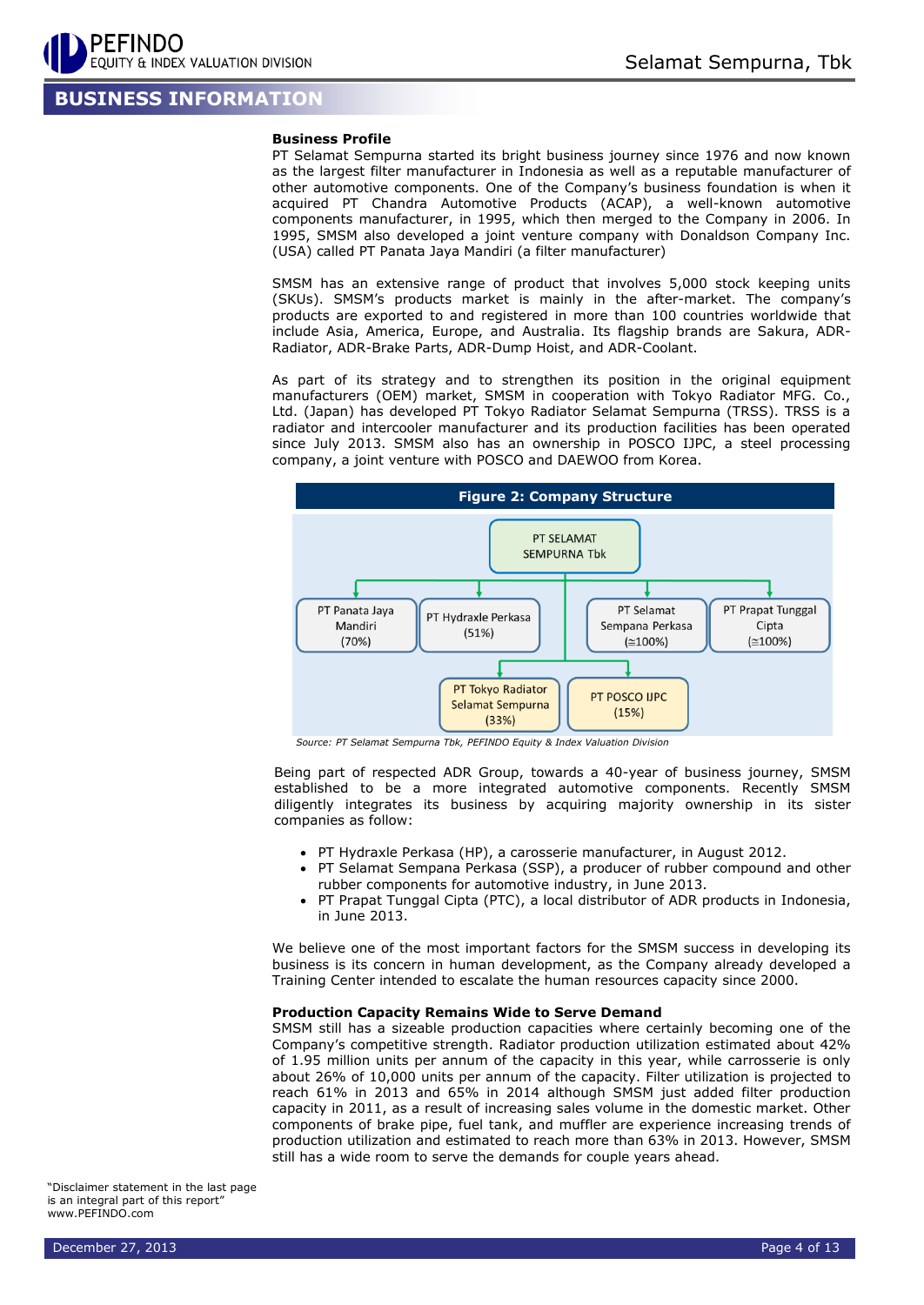# **BUSINESS INFORMATION**

# **Business Profile**

PT Selamat Sempurna started its bright business journey since 1976 and now known as the largest filter manufacturer in Indonesia as well as a reputable manufacturer of other automotive components. One of the Company's business foundation is when it acquired PT Chandra Automotive Products (ACAP), a well-known automotive components manufacturer, in 1995, which then merged to the Company in 2006. In 1995, SMSM also developed a joint venture company with Donaldson Company Inc. (USA) called PT Panata Jaya Mandiri (a filter manufacturer)

SMSM has an extensive range of product that involves 5,000 stock keeping units (SKUs). SMSM's products market is mainly in the after-market. The company's products are exported to and registered in more than 100 countries worldwide that include Asia, America, Europe, and Australia. Its flagship brands are Sakura, ADR-Radiator, ADR-Brake Parts, ADR-Dump Hoist, and ADR-Coolant.

As part of its strategy and to strengthen its position in the original equipment manufacturers (OEM) market, SMSM in cooperation with Tokyo Radiator MFG. Co., Ltd. (Japan) has developed PT Tokyo Radiator Selamat Sempurna (TRSS). TRSS is a radiator and intercooler manufacturer and its production facilities has been operated since July 2013. SMSM also has an ownership in POSCO IJPC, a steel processing company, a joint venture with POSCO and DAEWOO from Korea.



*Source: PT Selamat Sempurna Tbk, PEFINDO Equity & Index Valuation Division*

Being part of respected ADR Group, towards a 40-year of business journey, SMSM established to be a more integrated automotive components. Recently SMSM diligently integrates its business by acquiring majority ownership in its sister companies as follow:

- PT Hydraxle Perkasa (HP), a carosserie manufacturer, in August 2012.
- PT Selamat Sempana Perkasa (SSP), a producer of rubber compound and other rubber components for automotive industry, in June 2013.
- PT Prapat Tunggal Cipta (PTC), a local distributor of ADR products in Indonesia, in June 2013.

We believe one of the most important factors for the SMSM success in developing its business is its concern in human development, as the Company already developed a Training Center intended to escalate the human resources capacity since 2000.

# **Production Capacity Remains Wide to Serve Demand**

SMSM still has a sizeable production capacities where certainly becoming one of the Company's competitive strength. Radiator production utilization estimated about 42% of 1.95 million units per annum of the capacity in this year, while carrosserie is only about 26% of 10,000 units per annum of the capacity. Filter utilization is projected to reach 61% in 2013 and 65% in 2014 although SMSM just added filter production capacity in 2011, as a result of increasing sales volume in the domestic market. Other components of brake pipe, fuel tank, and muffler are experience increasing trends of production utilization and estimated to reach more than 63% in 2013. However, SMSM still has a wide room to serve the demands for couple years ahead.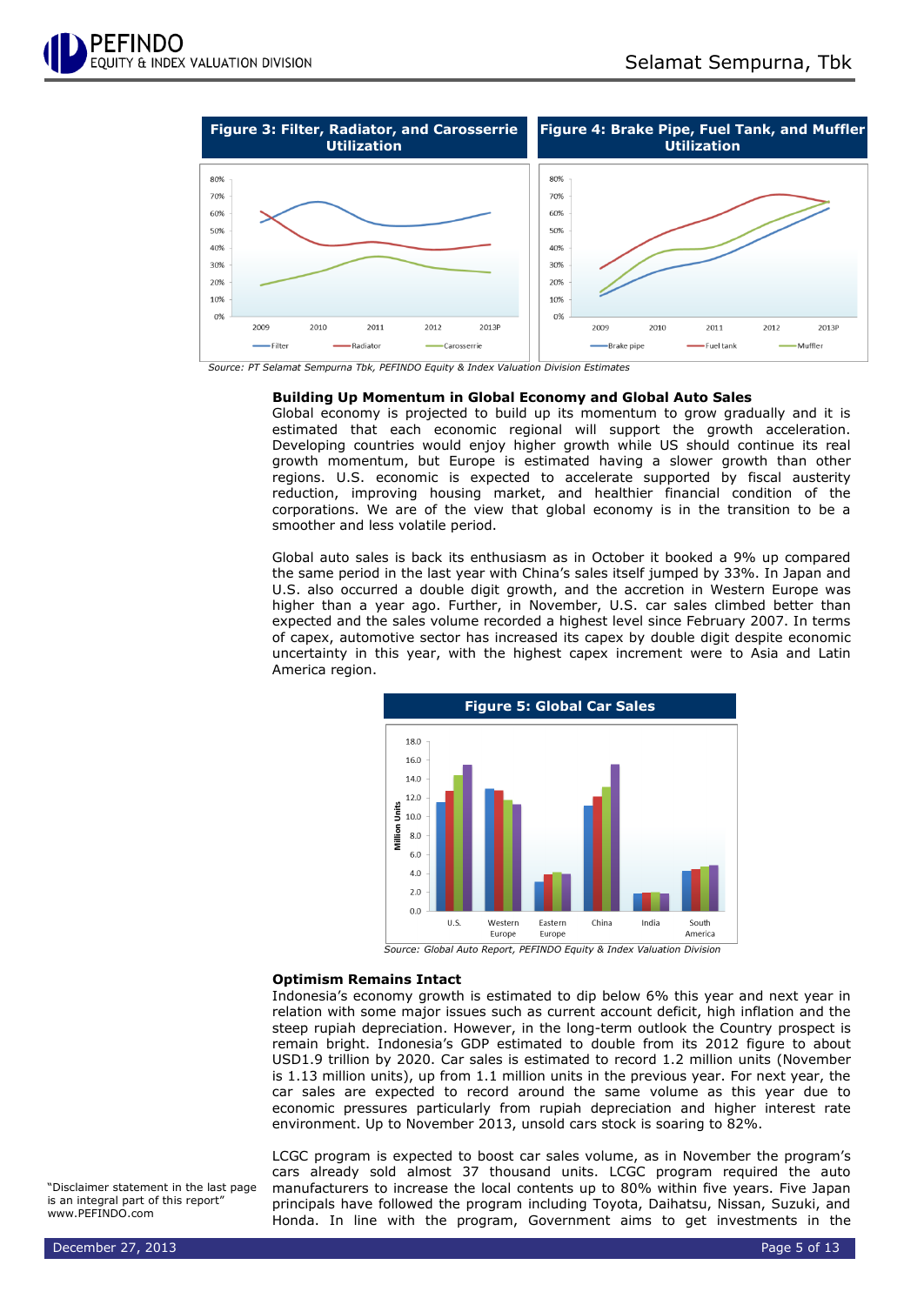

*Source: PT Selamat Sempurna Tbk, PEFINDO Equity & Index Valuation Division Estimates*

# **Building Up Momentum in Global Economy and Global Auto Sales**

Global economy is projected to build up its momentum to grow gradually and it is estimated that each economic regional will support the growth acceleration. Developing countries would enjoy higher growth while US should continue its real growth momentum, but Europe is estimated having a slower growth than other regions. U.S. economic is expected to accelerate supported by fiscal austerity reduction, improving housing market, and healthier financial condition of the corporations. We are of the view that global economy is in the transition to be a smoother and less volatile period.

Global auto sales is back its enthusiasm as in October it booked a 9% up compared the same period in the last year with China's sales itself jumped by 33%. In Japan and U.S. also occurred a double digit growth, and the accretion in Western Europe was higher than a year ago. Further, in November, U.S. car sales climbed better than expected and the sales volume recorded a highest level since February 2007. In terms of capex, automotive sector has increased its capex by double digit despite economic uncertainty in this year, with the highest capex increment were to Asia and Latin America region.



*Source: Global Auto Report, PEFINDO Equity & Index Valuation Division*

## **Optimism Remains Intact**

Indonesia's economy growth is estimated to dip below 6% this year and next year in relation with some major issues such as current account deficit, high inflation and the steep rupiah depreciation. However, in the long-term outlook the Country prospect is remain bright. Indonesia's GDP estimated to double from its 2012 figure to about USD1.9 trillion by 2020. Car sales is estimated to record 1.2 million units (November is 1.13 million units), up from 1.1 million units in the previous year. For next year, the car sales are expected to record around the same volume as this year due to economic pressures particularly from rupiah depreciation and higher interest rate environment. Up to November 2013, unsold cars stock is soaring to 82%.

LCGC program is expected to boost car sales volume, as in November the program's cars already sold almost 37 thousand units. LCGC program required the auto manufacturers to increase the local contents up to 80% within five years. Five Japan principals have followed the program including Toyota, Daihatsu, Nissan, Suzuki, and Honda. In line with the program, Government aims to get investments in the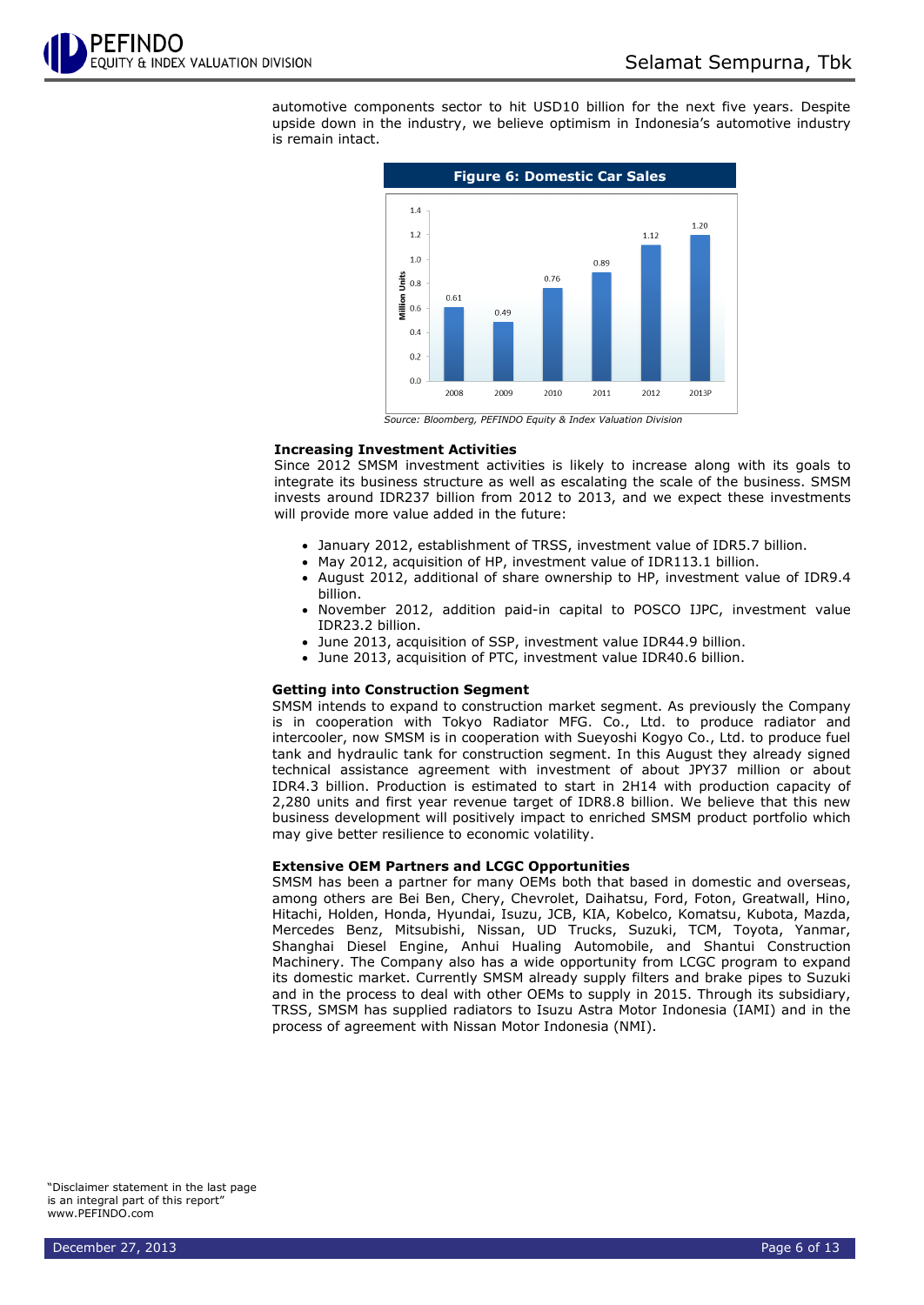

automotive components sector to hit USD10 billion for the next five years. Despite upside down in the industry, we believe optimism in Indonesia's automotive industry is remain intact.



*Source: Bloomberg, PEFINDO Equity & Index Valuation Division*

# **Increasing Investment Activities**

Since 2012 SMSM investment activities is likely to increase along with its goals to integrate its business structure as well as escalating the scale of the business. SMSM invests around IDR237 billion from 2012 to 2013, and we expect these investments will provide more value added in the future:

- January 2012, establishment of TRSS, investment value of IDR5.7 billion.
- May 2012, acquisition of HP, investment value of IDR113.1 billion.
- August 2012, additional of share ownership to HP, investment value of IDR9.4 billion.
- November 2012, addition paid-in capital to POSCO IJPC, investment value IDR23.2 billion.
- June 2013, acquisition of SSP, investment value IDR44.9 billion.
- June 2013, acquisition of PTC, investment value IDR40.6 billion.

### **Getting into Construction Segment**

SMSM intends to expand to construction market segment. As previously the Company is in cooperation with Tokyo Radiator MFG. Co., Ltd. to produce radiator and intercooler, now SMSM is in cooperation with Sueyoshi Kogyo Co., Ltd. to produce fuel tank and hydraulic tank for construction segment. In this August they already signed technical assistance agreement with investment of about JPY37 million or about IDR4.3 billion. Production is estimated to start in 2H14 with production capacity of 2,280 units and first year revenue target of IDR8.8 billion. We believe that this new business development will positively impact to enriched SMSM product portfolio which may give better resilience to economic volatility.

# **Extensive OEM Partners and LCGC Opportunities**

SMSM has been a partner for many OEMs both that based in domestic and overseas, among others are Bei Ben, Chery, Chevrolet, Daihatsu, Ford, Foton, Greatwall, Hino, Hitachi, Holden, Honda, Hyundai, Isuzu, JCB, KIA, Kobelco, Komatsu, Kubota, Mazda, Mercedes Benz, Mitsubishi, Nissan, UD Trucks, Suzuki, TCM, Toyota, Yanmar, Shanghai Diesel Engine, Anhui Hualing Automobile, and Shantui Construction Machinery. The Company also has a wide opportunity from LCGC program to expand its domestic market. Currently SMSM already supply filters and brake pipes to Suzuki and in the process to deal with other OEMs to supply in 2015. Through its subsidiary, TRSS, SMSM has supplied radiators to Isuzu Astra Motor Indonesia (IAMI) and in the process of agreement with Nissan Motor Indonesia (NMI).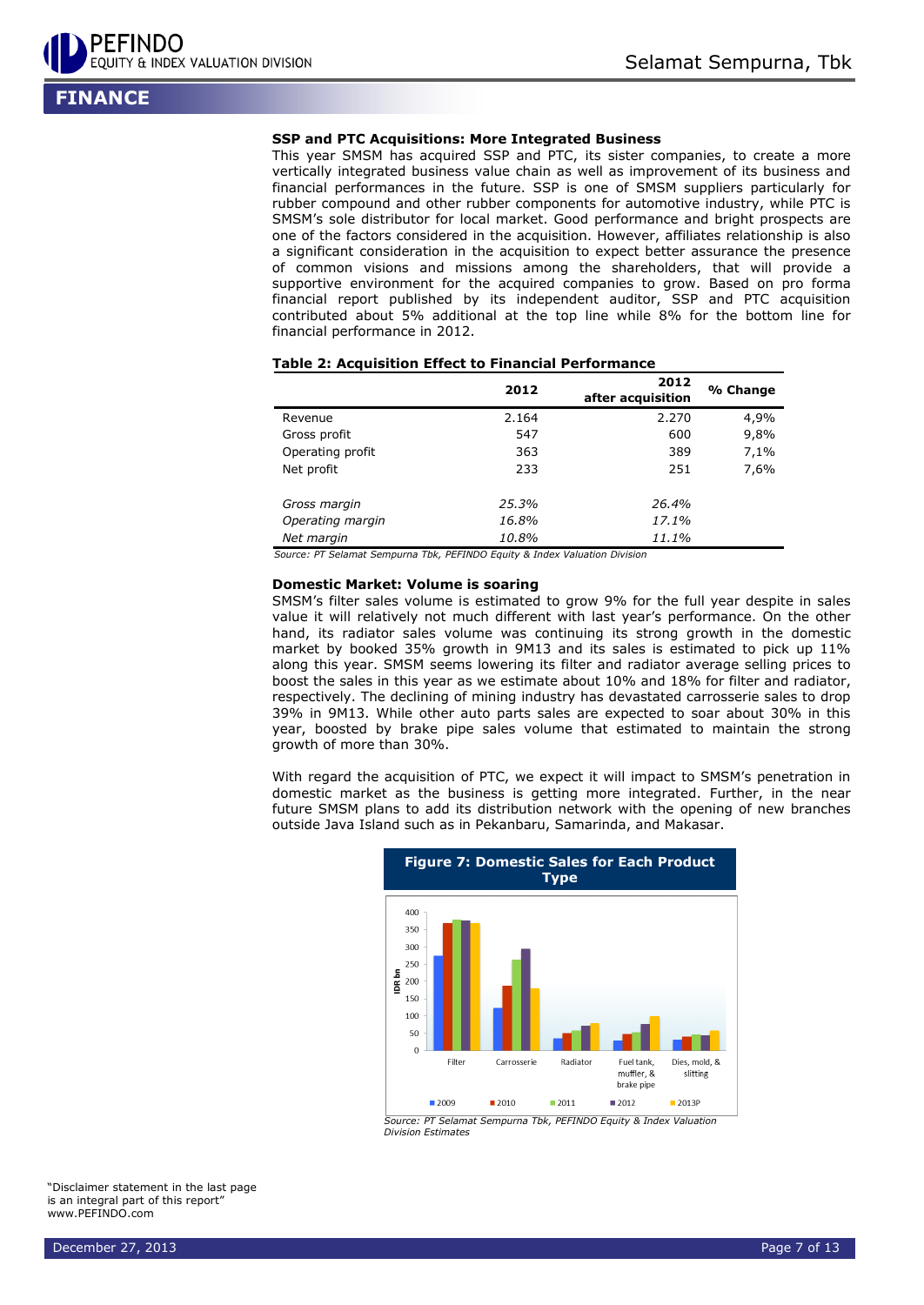

**FINANCE**

## **SSP and PTC Acquisitions: More Integrated Business**

This year SMSM has acquired SSP and PTC, its sister companies, to create a more vertically integrated business value chain as well as improvement of its business and financial performances in the future. SSP is one of SMSM suppliers particularly for rubber compound and other rubber components for automotive industry, while PTC is SMSM's sole distributor for local market. Good performance and bright prospects are one of the factors considered in the acquisition. However, affiliates relationship is also a significant consideration in the acquisition to expect better assurance the presence of common visions and missions among the shareholders, that will provide a supportive environment for the acquired companies to grow. Based on pro forma financial report published by its independent auditor, SSP and PTC acquisition contributed about 5% additional at the top line while 8% for the bottom line for financial performance in 2012.

|                  | 2012  | 2012<br>after acquisition | % Change |
|------------------|-------|---------------------------|----------|
| Revenue          | 2.164 | 2.270                     | 4,9%     |
| Gross profit     | 547   | 600                       | 9,8%     |
| Operating profit | 363   | 389                       | 7,1%     |
| Net profit       | 233   | 251                       | 7,6%     |
| Gross margin     | 25.3% | 26.4%                     |          |
| Operating margin | 16.8% | 17.1%                     |          |
| Net margin       | 10.8% | 11.1%                     |          |

# **Table 2: Acquisition Effect to Financial Performance**

*Source: PT Selamat Sempurna Tbk, PEFINDO Equity & Index Valuation Division*

#### **Domestic Market: Volume is soaring**

SMSM's filter sales volume is estimated to grow 9% for the full year despite in sales value it will relatively not much different with last year's performance. On the other hand, its radiator sales volume was continuing its strong growth in the domestic market by booked 35% growth in 9M13 and its sales is estimated to pick up 11% along this year. SMSM seems lowering its filter and radiator average selling prices to boost the sales in this year as we estimate about 10% and 18% for filter and radiator, respectively. The declining of mining industry has devastated carrosserie sales to drop 39% in 9M13. While other auto parts sales are expected to soar about 30% in this year, boosted by brake pipe sales volume that estimated to maintain the strong growth of more than 30%.

With regard the acquisition of PTC, we expect it will impact to SMSM's penetration in domestic market as the business is getting more integrated. Further, in the near future SMSM plans to add its distribution network with the opening of new branches outside Java Island such as in Pekanbaru, Samarinda, and Makasar.



*Source: PT Selamat Sempurna Tbk, PEFINDO Equity & Index Valuation Division Estimates*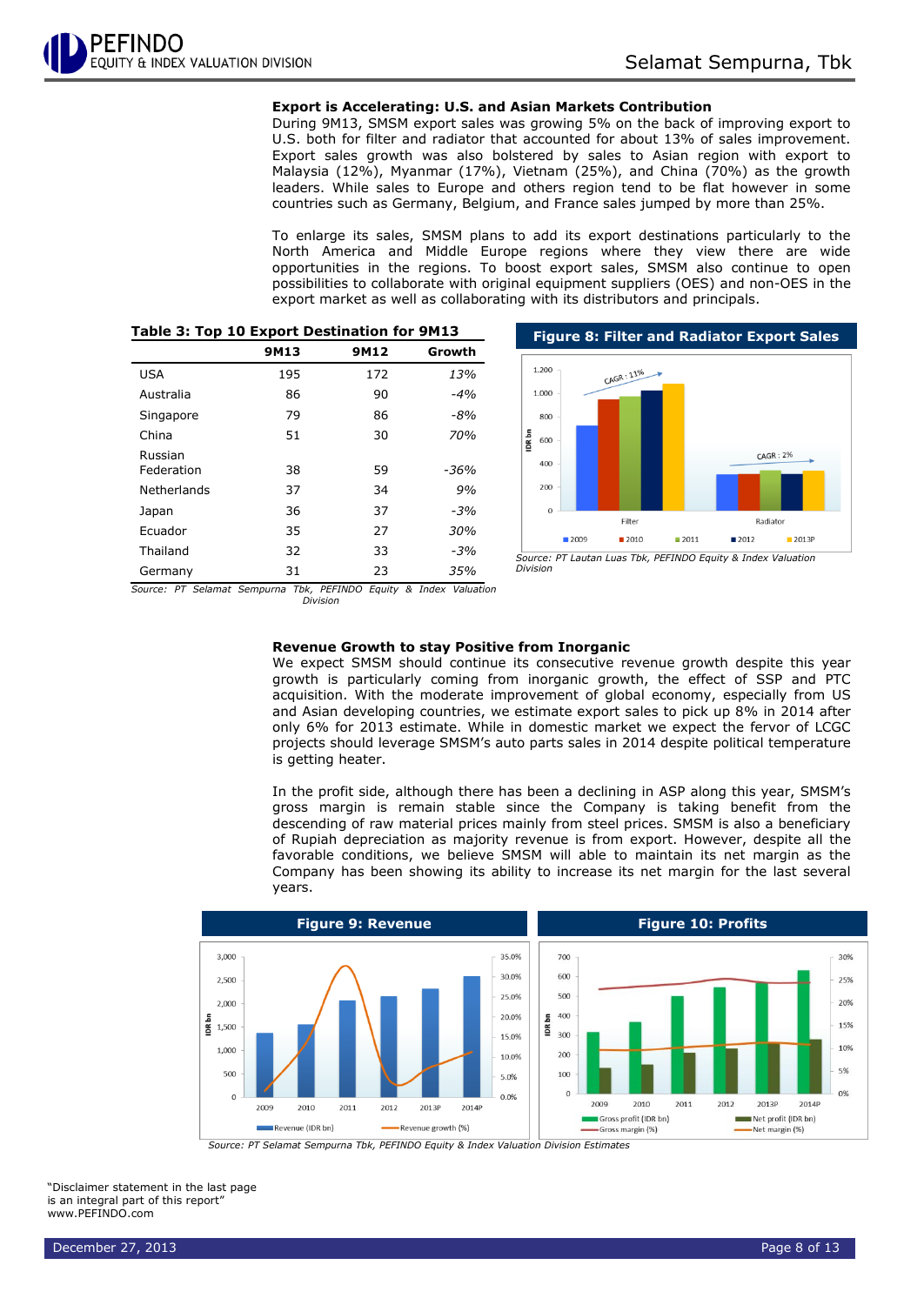# **Export is Accelerating: U.S. and Asian Markets Contribution**

During 9M13, SMSM export sales was growing 5% on the back of improving export to U.S. both for filter and radiator that accounted for about 13% of sales improvement. Export sales growth was also bolstered by sales to Asian region with export to Malaysia (12%), Myanmar (17%), Vietnam (25%), and China (70%) as the growth leaders. While sales to Europe and others region tend to be flat however in some countries such as Germany, Belgium, and France sales jumped by more than 25%.

To enlarge its sales, SMSM plans to add its export destinations particularly to the North America and Middle Europe regions where they view there are wide opportunities in the regions. To boost export sales, SMSM also continue to open possibilities to collaborate with original equipment suppliers (OES) and non-OES in the export market as well as collaborating with its distributors and principals.

|                       | 9M13 | 9M12 | Growth     |
|-----------------------|------|------|------------|
| <b>USA</b>            | 195  | 172  | 13%        |
| Australia             | 86   | 90   | $-4%$      |
| Singapore             | 79   | 86   | $-8%$      |
| China                 | 51   | 30   | <b>70%</b> |
| Russian<br>Federation | 38   | 59   | $-36%$     |
| Netherlands           | 37   | 34   | 9%         |
| Japan                 | 36   | 37   | $-3%$      |
| Ecuador               | 35   | 27   | 30%        |
| Thailand              | 32   | 33   | $-3%$      |
| Germany               | 31   | 23   | 35%        |

# **Table 3: Top 10 Export Destination for 9M13**



*Division*

*Source: PT Selamat Sempurna Tbk, PEFINDO Equity & Index Valuation* 

*Division*

# **Revenue Growth to stay Positive from Inorganic**

We expect SMSM should continue its consecutive revenue growth despite this year growth is particularly coming from inorganic growth, the effect of SSP and PTC acquisition. With the moderate improvement of global economy, especially from US and Asian developing countries, we estimate export sales to pick up 8% in 2014 after only 6% for 2013 estimate. While in domestic market we expect the fervor of LCGC projects should leverage SMSM's auto parts sales in 2014 despite political temperature is getting heater.

In the profit side, although there has been a declining in ASP along this year, SMSM's gross margin is remain stable since the Company is taking benefit from the descending of raw material prices mainly from steel prices. SMSM is also a beneficiary of Rupiah depreciation as majority revenue is from export. However, despite all the favorable conditions, we believe SMSM will able to maintain its net margin as the Company has been showing its ability to increase its net margin for the last several years.



*Source: PT Selamat Sempurna Tbk, PEFINDO Equity & Index Valuation Division Estimates*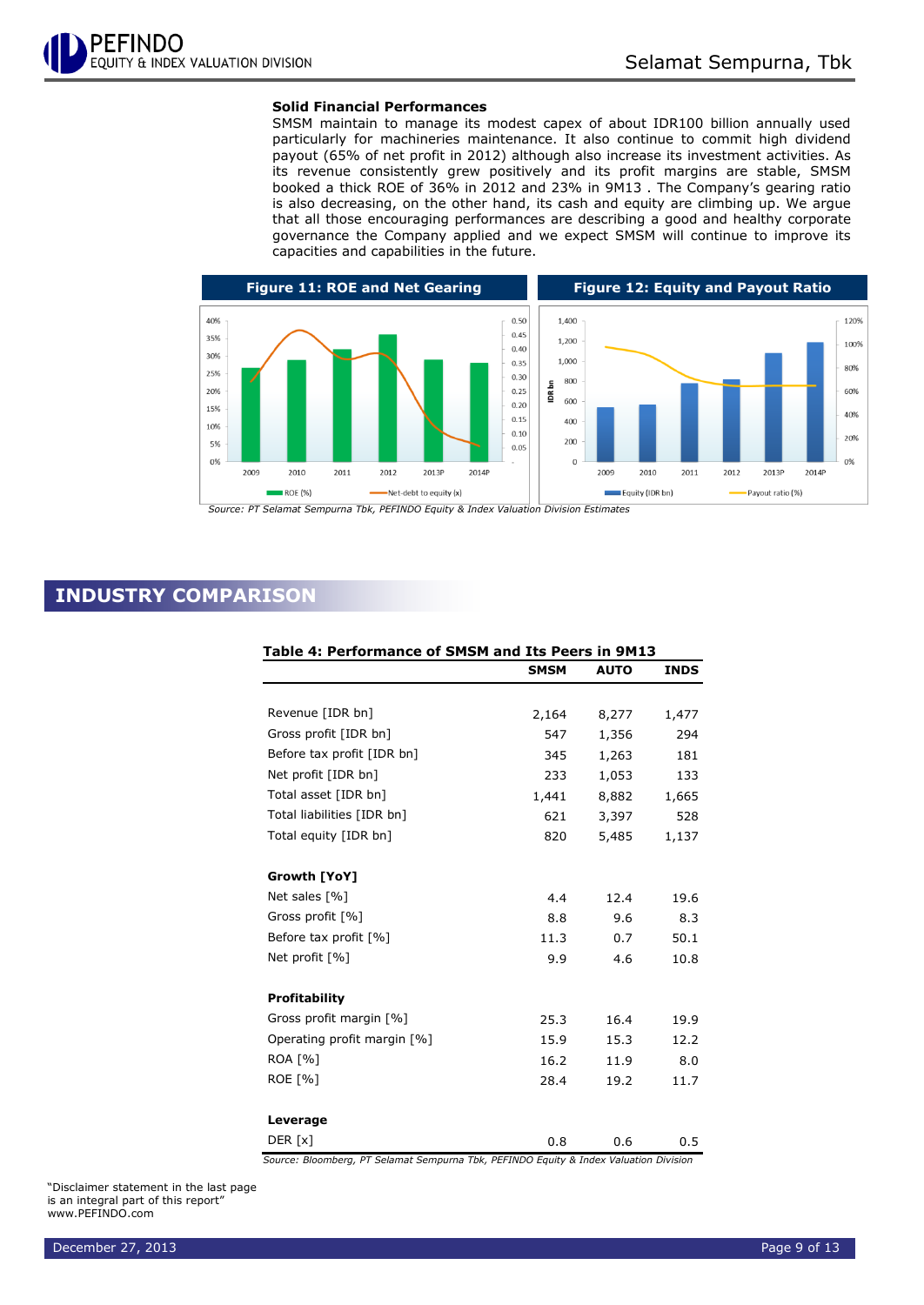# **Solid Financial Performances**

SMSM maintain to manage its modest capex of about IDR100 billion annually used particularly for machineries maintenance. It also continue to commit high dividend payout (65% of net profit in 2012) although also increase its investment activities. As its revenue consistently grew positively and its profit margins are stable, SMSM booked a thick ROE of 36% in 2012 and 23% in 9M13 . The Company's gearing ratio is also decreasing, on the other hand, its cash and equity are climbing up. We argue that all those encouraging performances are describing a good and healthy corporate governance the Company applied and we expect SMSM will continue to improve its capacities and capabilities in the future.



*Source: PT Selamat Sempurna Tbk, PEFINDO Equity & Index Valuation Division Estimates*

# **INDUSTRY COMPARISON**

| Table 4: Performance of SMSM and Its Peers in 9M13 |             |             |             |
|----------------------------------------------------|-------------|-------------|-------------|
|                                                    | <b>SMSM</b> | <b>AUTO</b> | <b>INDS</b> |
|                                                    |             |             |             |
| Revenue [IDR bn]                                   | 2,164       | 8,277       | 1,477       |
| Gross profit [IDR bn]                              | 547         | 1,356       | 294         |
| Before tax profit [IDR bn]                         | 345         | 1,263       | 181         |
| Net profit [IDR bn]                                | 233         | 1,053       | 133         |
| Total asset [IDR bn]                               | 1,441       | 8,882       | 1,665       |
| Total liabilities [IDR bn]                         | 621         | 3,397       | 528         |
| Total equity [IDR bn]                              | 820         | 5,485       | 1,137       |
| Growth [YoY]                                       |             |             |             |
| Net sales [%]                                      | 4.4         | 12.4        | 19.6        |
| Gross profit [%]                                   | 8.8         | 9.6         | 8.3         |
| Before tax profit [%]                              | 11.3        | 0.7         | 50.1        |
| Net profit [%]                                     | 9.9         | 4.6         | 10.8        |
| <b>Profitability</b>                               |             |             |             |
| Gross profit margin [%]                            | 25.3        | 16.4        | 19.9        |
| Operating profit margin [%]                        | 15.9        | 15.3        | 12.2        |
| <b>ROA [%]</b>                                     | 16.2        | 11.9        | 8.0         |
| <b>ROE [%]</b>                                     | 28.4        | 19.2        | 11.7        |
| Leverage                                           |             |             |             |
| DER [x]                                            | 0.8         | 0.6         | 0.5         |

*Source: Bloomberg, PT Selamat Sempurna Tbk, PEFINDO Equity & Index Valuation Division*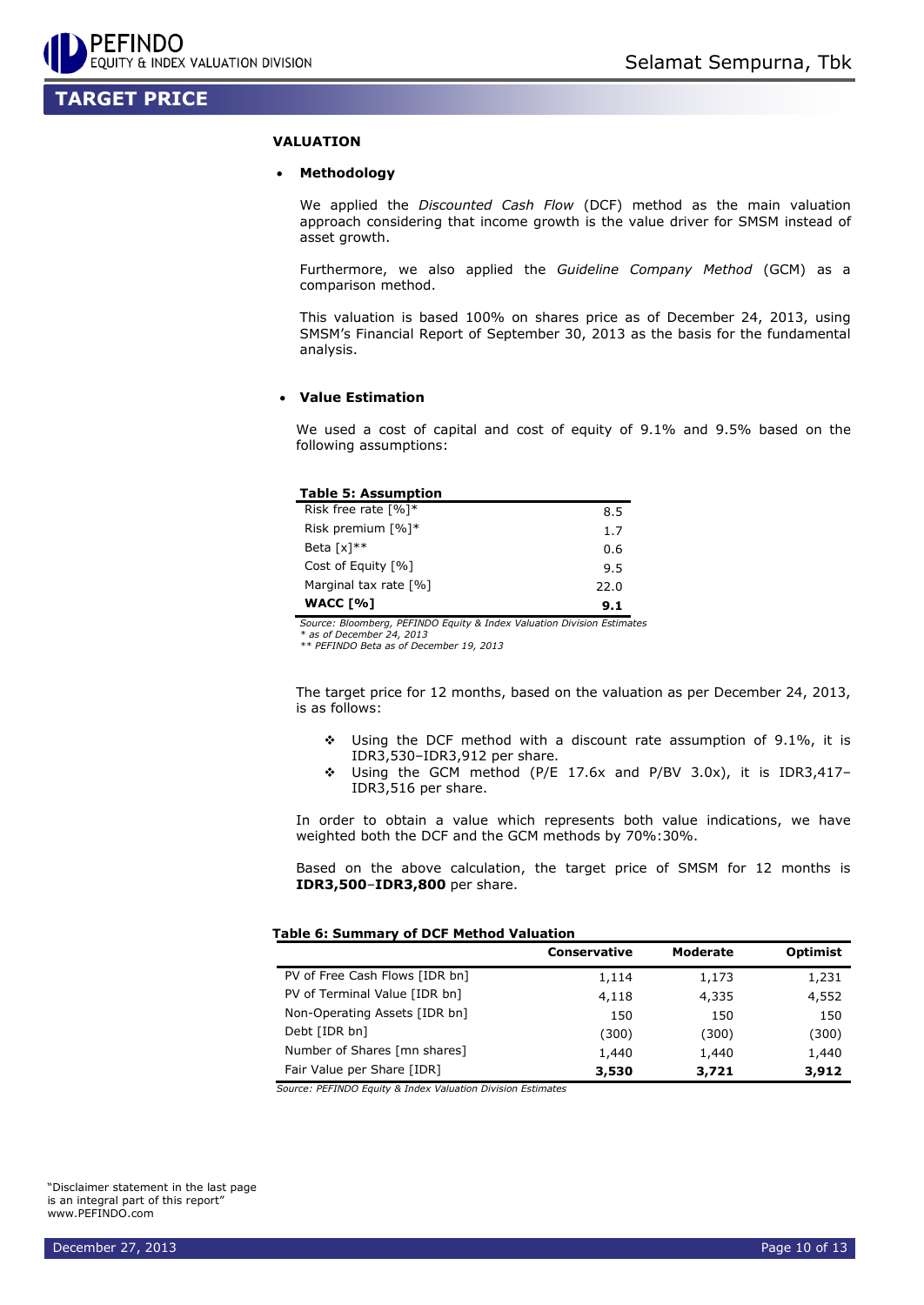# **TARGET PRICE**

# **VALUATION**

# **Methodology**

We applied the *Discounted Cash Flow* (DCF) method as the main valuation approach considering that income growth is the value driver for SMSM instead of asset growth.

Furthermore, we also applied the *Guideline Company Method* (GCM) as a comparison method.

This valuation is based 100% on shares price as of December 24, 2013, using SMSM's Financial Report of September 30, 2013 as the basis for the fundamental analysis.

# **Value Estimation**

We used a cost of capital and cost of equity of 9.1% and 9.5% based on the following assumptions:

# **Table 5: Assumption**

| Risk free rate $\lceil \% \rceil$ * | 8.5  |
|-------------------------------------|------|
| Risk premium $\lceil \% \rceil$ *   | 1.7  |
| Beta $\lceil x \rceil^{**}$         | 0.6  |
| Cost of Equity [%]                  | 9.5  |
| Marginal tax rate [%]               | 22.0 |
| WACC [%]                            | 9.1  |

*Source: Bloomberg, PEFINDO Equity & Index Valuation Division Estimates*

*\* as of December 24, 2013*

*\*\* PEFINDO Beta as of December 19, 2013*

The target price for 12 months, based on the valuation as per December 24, 2013, is as follows:

- Using the DCF method with a discount rate assumption of 9.1%, it is IDR3,530–IDR3,912 per share.
- Using the GCM method (P/E 17.6x and P/BV 3.0x), it is IDR3,417– IDR3,516 per share.

In order to obtain a value which represents both value indications, we have weighted both the DCF and the GCM methods by 70%:30%.

Based on the above calculation, the target price of SMSM for 12 months is **IDR3,500**–**IDR3,800** per share.

## **Table 6: Summary of DCF Method Valuation**

|                                | Conservative | <b>Moderate</b> | <b>Optimist</b> |
|--------------------------------|--------------|-----------------|-----------------|
| PV of Free Cash Flows [IDR bn] | 1,114        | 1,173           | 1,231           |
| PV of Terminal Value [IDR bn]  | 4,118        | 4,335           | 4,552           |
| Non-Operating Assets [IDR bn]  | 150          | 150             | 150             |
| Debt [IDR bn]                  | (300)        | (300)           | (300)           |
| Number of Shares [mn shares]   | 1,440        | 1,440           | 1,440           |
| Fair Value per Share [IDR]     | 3,530        | 3,721           | 3,912           |

*Source: PEFINDO Equity & Index Valuation Division Estimates*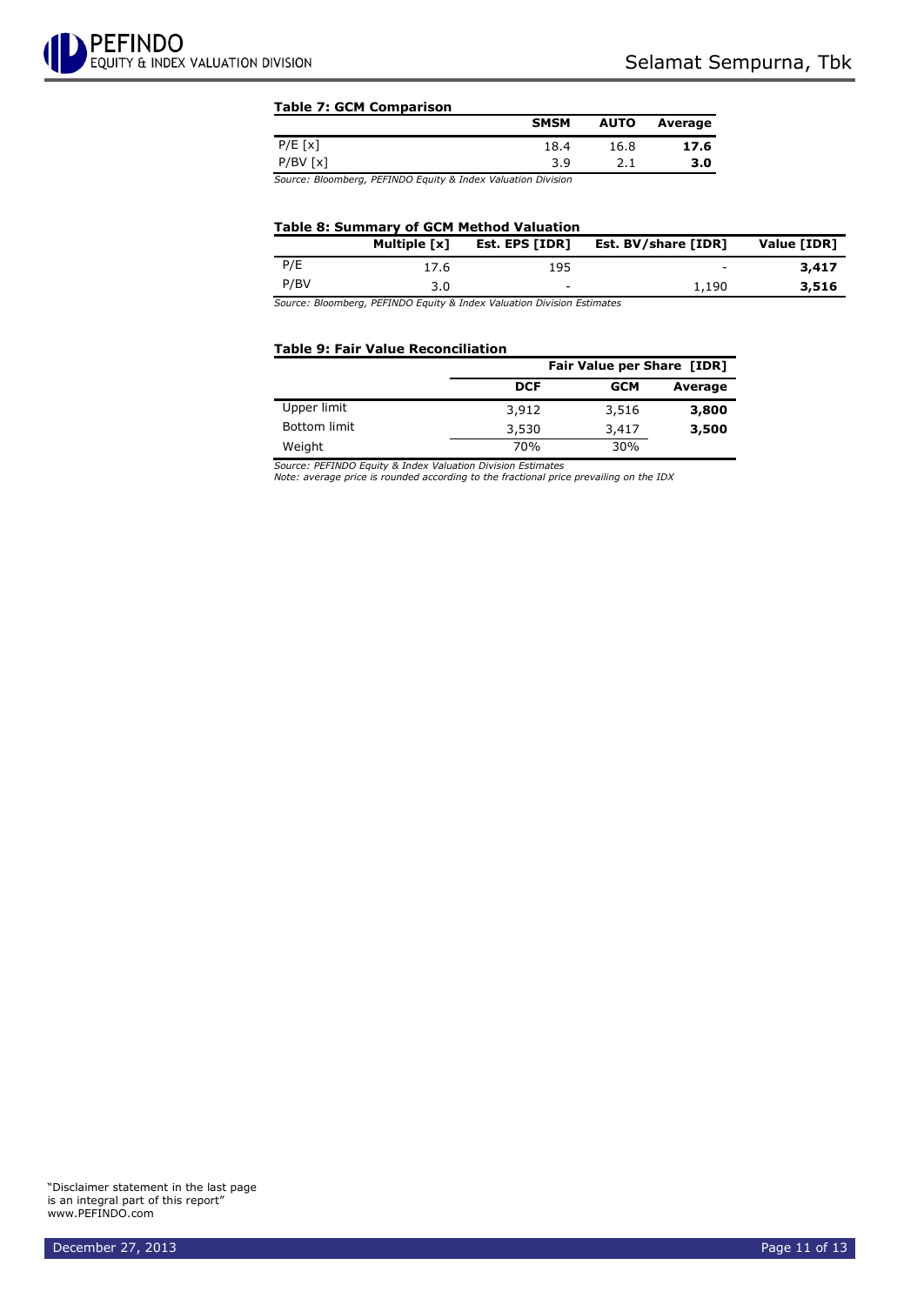# **Table 7: GCM Comparison**

|                                                                                                                                             | <b>SMSM</b> | <b>AUTO</b> | Average |
|---------------------------------------------------------------------------------------------------------------------------------------------|-------------|-------------|---------|
| $P/E$ [x]                                                                                                                                   | 18.4        | 16.8        | 17.6    |
| $P/BV$ [x]                                                                                                                                  | 3.9         | 2.1         | 3.0     |
| the contract of the contract of the contract of the contract of the contract of the contract of the contract of<br>the contract of the con- |             |             |         |

*Source: Bloomberg, PEFINDO Equity & Index Valuation Division*

# **Table 8: Summary of GCM Method Valuation**

|      | Multiple [x] | Est. EPS [IDR]           | Est. BV/share [IDR]      | Value [IDR] |
|------|--------------|--------------------------|--------------------------|-------------|
| P/E  | 17.6         | 195                      | $\overline{\phantom{a}}$ | 3,417       |
| P/BV | 3.0          | $\overline{\phantom{0}}$ | 1,190                    | 3,516       |

*Source: Bloomberg, PEFINDO Equity & Index Valuation Division Estimates*

## **Table 9: Fair Value Reconciliation**

|              | Fair Value per Share [IDR] |            |         |  |
|--------------|----------------------------|------------|---------|--|
|              | <b>DCF</b>                 | <b>GCM</b> | Average |  |
| Upper limit  | 3,912                      | 3,516      | 3,800   |  |
| Bottom limit | 3,530                      | 3,417      | 3,500   |  |
| Weight       | 70%                        | 30%        |         |  |

*Source: PEFINDO Equity & Index Valuation Division Estimates*

*Note: average price is rounded according to the fractional price prevailing on the IDX*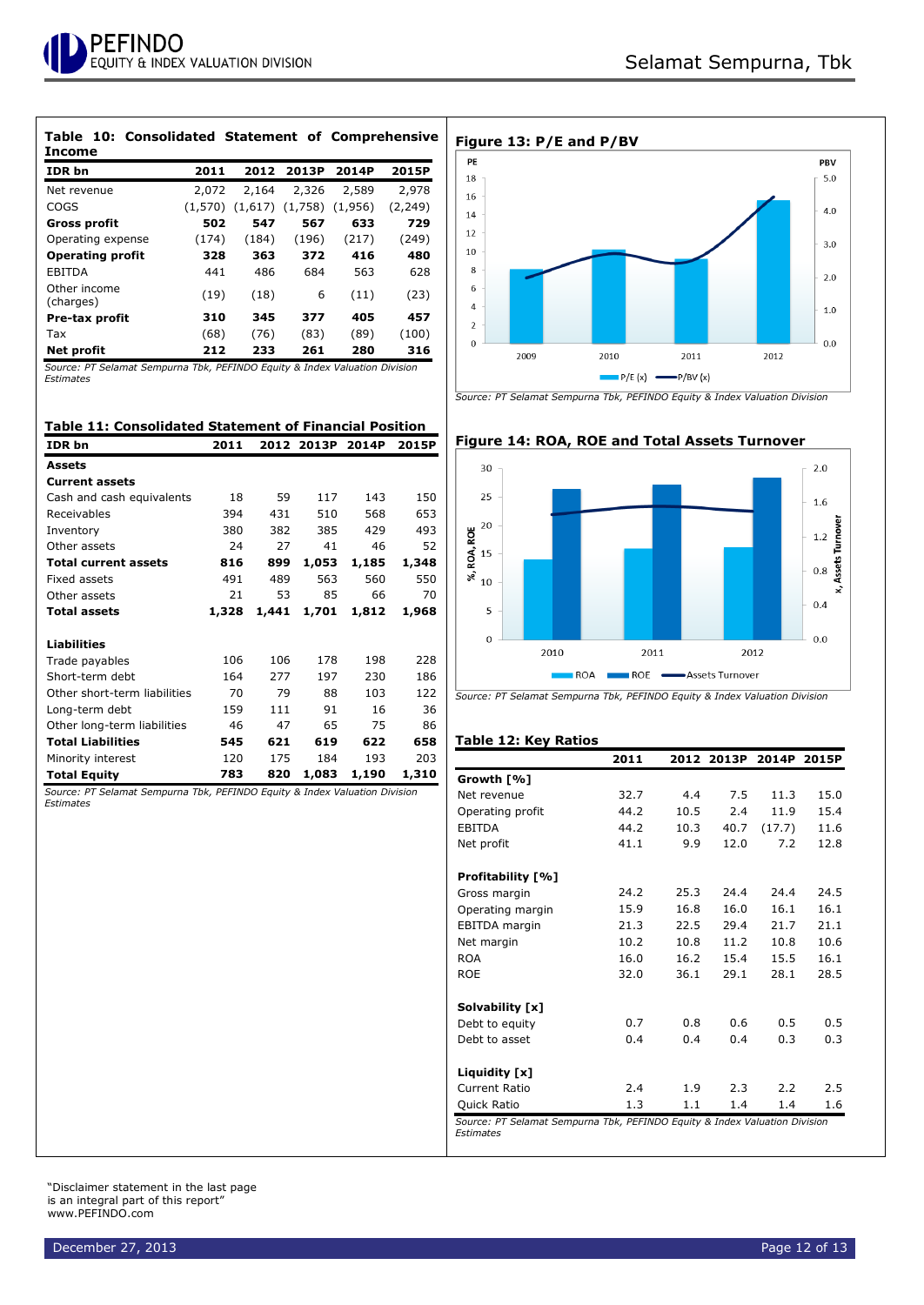| Table 10: Consolidated Statement of Comprehensive<br>Income |         |         |         |         |          |
|-------------------------------------------------------------|---------|---------|---------|---------|----------|
| IDR bn                                                      | 2011    | 2012    | 2013P   | 2014P   | 2015P    |
| Net revenue                                                 | 2,072   | 2,164   | 2,326   | 2,589   | 2,978    |
| COGS                                                        | (1.570) | (1,617) | (1,758) | (1,956) | (2, 249) |
| <b>Gross profit</b>                                         | 502     | 547     | 567     | 633     | 729      |
| Operating expense                                           | (174)   | (184)   | (196)   | (217)   | (249)    |
| <b>Operating profit</b>                                     | 328     | 363     | 372     | 416     | 480      |
| <b>EBITDA</b>                                               | 441     | 486     | 684     | 563     | 628      |
| Other income<br>(charges)                                   | (19)    | (18)    | 6       | (11)    | (23)     |
| Pre-tax profit                                              | 310     | 345     | 377     | 405     | 457      |
| Tax                                                         | (68)    | (76)    | (83)    | (89)    | (100)    |
| Net profit                                                  | 212     | 233     | 261     | 280     | 316      |

*Source: PT Selamat Sempurna Tbk, PEFINDO Equity & Index Valuation Division Estimates*

## **Table 11: Consolidated Statement of Financial Position**

| IDR bn                       | 2011  | 2012  | 2013P | 2014P | 2015P |
|------------------------------|-------|-------|-------|-------|-------|
| <b>Assets</b>                |       |       |       |       |       |
| <b>Current assets</b>        |       |       |       |       |       |
| Cash and cash equivalents    | 18    | 59    | 117   | 143   | 150   |
| Receivables                  | 394   | 431   | 510   | 568   | 653   |
| Inventory                    | 380   | 382   | 385   | 429   | 493   |
| Other assets                 | 24    | 27    | 41    | 46    | 52    |
| <b>Total current assets</b>  | 816   | 899   | 1,053 | 1,185 | 1,348 |
| Fixed assets                 | 491   | 489   | 563   | 560   | 550   |
| Other assets                 | 21    | 53    | 85    | 66    | 70    |
| <b>Total assets</b>          | 1,328 | 1,441 | 1,701 | 1,812 | 1,968 |
| <b>Liabilities</b>           |       |       |       |       |       |
|                              |       |       |       |       |       |
| Trade payables               | 106   | 106   | 178   | 198   | 228   |
| Short-term debt              | 164   | 277   | 197   | 230   | 186   |
| Other short-term liabilities | 70    | 79    | 88    | 103   | 122   |
| Long-term debt               | 159   | 111   | 91    | 16    | 36    |
| Other long-term liabilities  | 46    | 47    | 65    | 75    | 86    |
| <b>Total Liabilities</b>     | 545   | 621   | 619   | 622   | 658   |
| Minority interest            | 120   | 175   | 184   | 193   | 203   |
| <b>Total Equity</b>          | 783   | 820   | 1,083 | 1,190 | 1,310 |

*Source: PT Selamat Sempurna Tbk, PEFINDO Equity & Index Valuation Division Estimates*



*Source: PT Selamat Sempurna Tbk, PEFINDO Equity & Index Valuation Division*



# **Figure 14: ROA, ROE and Total Assets Turnover**

*Source: PT Selamat Sempurna Tbk, PEFINDO Equity & Index Valuation Division*

# **Table 12: Key Ratios**

|                    | 2011 |      | 2012 2013P | 2014P  | 2015P |
|--------------------|------|------|------------|--------|-------|
| Growth [%]         |      |      |            |        |       |
| Net revenue        | 32.7 | 4.4  | 7.5        | 11.3   | 15.0  |
| Operating profit   | 44.2 | 10.5 | 2.4        | 11.9   | 15.4  |
| <b>EBITDA</b>      | 44.2 | 10.3 | 40.7       | (17.7) | 11.6  |
| Net profit         | 41.1 | 9.9  | 12.0       | 7.2    | 12.8  |
| Profitability [%]  |      |      |            |        |       |
| Gross margin       | 24.2 | 25.3 | 24.4       | 24.4   | 24.5  |
| Operating margin   | 15.9 | 16.8 | 16.0       | 16.1   | 16.1  |
| EBITDA margin      | 21.3 | 22.5 | 29.4       | 21.7   | 21.1  |
| Net margin         | 10.2 | 10.8 | 11.2       | 10.8   | 10.6  |
| <b>ROA</b>         | 16.0 | 16.2 | 15.4       | 15.5   | 16.1  |
| <b>ROE</b>         | 32.0 | 36.1 | 29.1       | 28.1   | 28.5  |
| Solvability [x]    |      |      |            |        |       |
| Debt to equity     | 0.7  | 0.8  | 0.6        | 0.5    | 0.5   |
| Debt to asset      | 0.4  | 0.4  | 0.4        | 0.3    | 0.3   |
| Liquidity [x]      |      |      |            |        |       |
| Current Ratio      | 2.4  | 1.9  | 2.3        | 2.2    | 2.5   |
| <b>Ouick Ratio</b> | 1.3  | 1.1  | 1.4        | 1.4    | 1.6   |